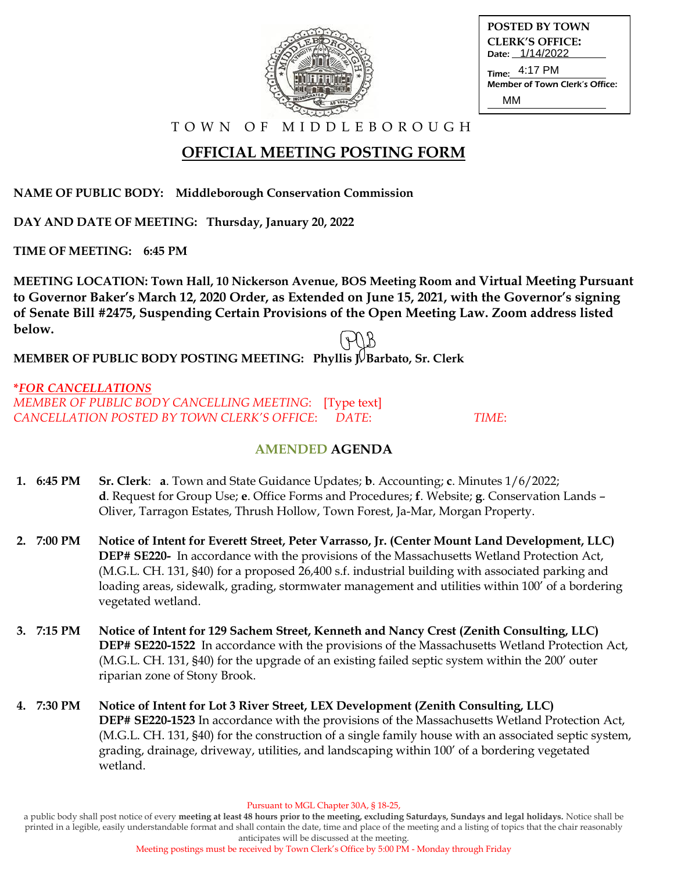

| POSTED BY TOWN                 |
|--------------------------------|
| <b>CLERK'S OFFICE:</b>         |
| Date: 1/14/2022                |
| Time: 4:17 PM                  |
| Member of Town Clerk's Office: |
| MM                             |

T O W N O F M I D D L E B O R O U G H

# **OFFICIAL MEETING POSTING FORM**

**NAME OF PUBLIC BODY: Middleborough Conservation Commission**

**DAY AND DATE OF MEETING: Thursday, January 20, 2022**

**TIME OF MEETING: 6:45 PM**

**MEETING LOCATION: Town Hall, 10 Nickerson Avenue, BOS Meeting Room and Virtual Meeting Pursuant to Governor Baker's March 12, 2020 Order, as Extended on June 15, 2021, with the Governor's signing of Senate Bill #2475, Suspending Certain Provisions of the Open Meeting Law. Zoom address listed below.**

**MEMBER OF PUBLIC BODY POSTING MEETING: Phyllis I. Barbato, Sr. Clerk** 

#### **\****FOR CANCELLATIONS MEMBER OF PUBLIC BODY CANCELLING MEETING*: [Type text] *CANCELLATION POSTED BY TOWN CLERK'S OFFICE*: *DATE*: *TIME*:

### **AMENDED AGENDA**

- **1. 6:45 PM Sr. Clerk**: **a**. Town and State Guidance Updates; **b**. Accounting; **c**. Minutes 1/6/2022;  **d**. Request for Group Use; **e**. Office Forms and Procedures; **f**. Website; **g**. Conservation Lands – Oliver, Tarragon Estates, Thrush Hollow, Town Forest, Ja-Mar, Morgan Property.
- **2. 7:00 PM Notice of Intent for Everett Street, Peter Varrasso, Jr. (Center Mount Land Development, LLC) DEP# SE220-** In accordance with the provisions of the Massachusetts Wetland Protection Act, (M.G.L. CH. 131, §40) for a proposed 26,400 s.f. industrial building with associated parking and loading areas, sidewalk, grading, stormwater management and utilities within 100' of a bordering vegetated wetland.
- **3. 7:15 PM Notice of Intent for 129 Sachem Street, Kenneth and Nancy Crest (Zenith Consulting, LLC) DEP# SE220-1522** In accordance with the provisions of the Massachusetts Wetland Protection Act, (M.G.L. CH. 131, §40) for the upgrade of an existing failed septic system within the 200' outer riparian zone of Stony Brook.
- **4. 7:30 PM Notice of Intent for Lot 3 River Street, LEX Development (Zenith Consulting, LLC) DEP# SE220-1523** In accordance with the provisions of the Massachusetts Wetland Protection Act, (M.G.L. CH. 131, §40) for the construction of a single family house with an associated septic system, grading, drainage, driveway, utilities, and landscaping within 100' of a bordering vegetated wetland.

Pursuant to MGL Chapter 30A, § 18-25,

a public body shall post notice of every **meeting at least 48 hours prior to the meeting, excluding Saturdays, Sundays and legal holidays.** Notice shall be printed in a legible, easily understandable format and shall contain the date, time and place of the meeting and a listing of topics that the chair reasonably anticipates will be discussed at the meeting.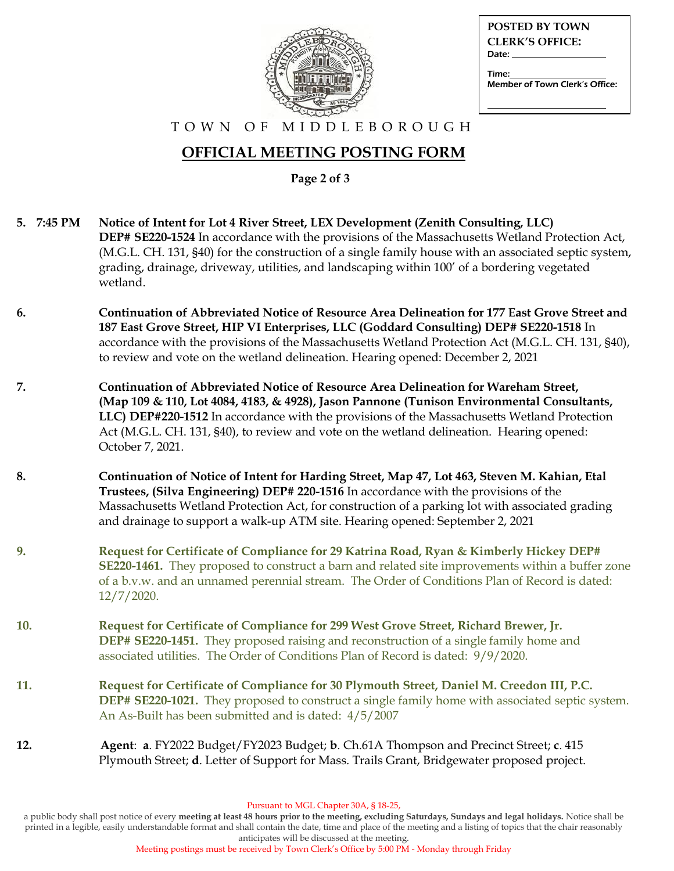

| <b>POSTED BY TOWN</b>          |
|--------------------------------|
| <b>CLERK'S OFFICE:</b>         |
| Date:                          |
| Time:                          |
| Member of Town Clerk's Office: |
|                                |

#### T O W N O F M I D D L E B O R O U G H

## **OFFICIAL MEETING POSTING FORM**

**Page 2 of 3** 

**5. 7:45 PM Notice of Intent for Lot 4 River Street, LEX Development (Zenith Consulting, LLC) DEP# SE220-1524** In accordance with the provisions of the Massachusetts Wetland Protection Act, (M.G.L. CH. 131, §40) for the construction of a single family house with an associated septic system, grading, drainage, driveway, utilities, and landscaping within 100' of a bordering vegetated wetland. **6. Continuation of Abbreviated Notice of Resource Area Delineation for 177 East Grove Street and 187 East Grove Street, HIP VI Enterprises, LLC (Goddard Consulting) DEP# SE220-1518** In accordance with the provisions of the Massachusetts Wetland Protection Act (M.G.L. CH. 131, §40), to review and vote on the wetland delineation. Hearing opened: December 2, 2021 **7. Continuation of Abbreviated Notice of Resource Area Delineation for Wareham Street, (Map 109 & 110, Lot 4084, 4183, & 4928), Jason Pannone (Tunison Environmental Consultants, LLC) DEP#220-1512** In accordance with the provisions of the Massachusetts Wetland Protection Act (M.G.L. CH. 131, §40), to review and vote on the wetland delineation. Hearing opened: October 7, 2021. **8. Continuation of Notice of Intent for Harding Street, Map 47, Lot 463, Steven M. Kahian, Etal Trustees, (Silva Engineering) DEP# 220-1516** In accordance with the provisions of the Massachusetts Wetland Protection Act, for construction of a parking lot with associated grading and drainage to support a walk-up ATM site. Hearing opened: September 2, 2021 **9. Request for Certificate of Compliance for 29 Katrina Road, Ryan & Kimberly Hickey DEP# SE220-1461.** They proposed to construct a barn and related site improvements within a buffer zone of a b.v.w. and an unnamed perennial stream. The Order of Conditions Plan of Record is dated: 12/7/2020. **10. Request for Certificate of Compliance for 299 West Grove Street, Richard Brewer, Jr. DEP# SE220-1451.** They proposed raising and reconstruction of a single family home and associated utilities. The Order of Conditions Plan of Record is dated: 9/9/2020. **11. Request for Certificate of Compliance for 30 Plymouth Street, Daniel M. Creedon III, P.C. DEP# SE220-1021.** They proposed to construct a single family home with associated septic system. An As-Built has been submitted and is dated: 4/5/2007 **12. Agent**: **a**. FY2022 Budget/FY2023 Budget; **b**. Ch.61A Thompson and Precinct Street; **c**. 415 Plymouth Street; **d**. Letter of Support for Mass. Trails Grant, Bridgewater proposed project.

a public body shall post notice of every **meeting at least 48 hours prior to the meeting, excluding Saturdays, Sundays and legal holidays.** Notice shall be printed in a legible, easily understandable format and shall contain the date, time and place of the meeting and a listing of topics that the chair reasonably anticipates will be discussed at the meeting.